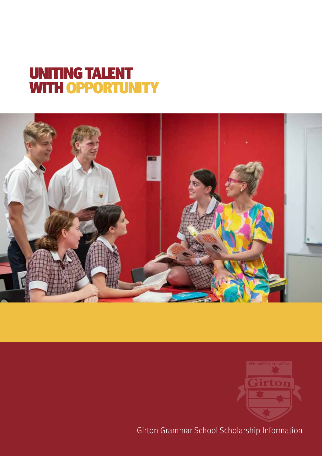# UNITING TALENT WITH OPPORTUNITY





Girton Grammar School Scholarship Information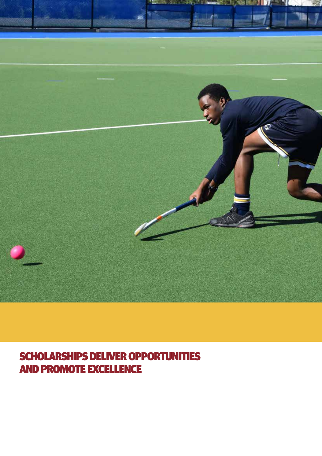

### SCHOLARSHIPS DELIVER OPPORTUNITIES AND PROMOTE EXCELLENCE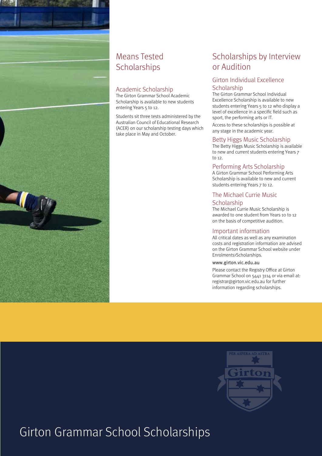

### Means Tested **Scholarships**

#### Academic Scholarship

The Girton Grammar School Academic Scholarship is available to new students entering Years 5 to 12.

Students sit three tests administered by the Australian Council of Educational Research (ACER) on our scholarship testing days which take place in May and October.

### Scholarships by Interview or Audition

#### Girton Individual Excellence **Scholarship**

The Girton Grammar School Individual Excellence Scholarship is available to new students entering Years 5 to 12 who display a level of excellence in a specific field such as sport, the performing arts or IT.

Access to these scholarships is possible at any stage in the academic year.

#### Betty Higgs Music Scholarship

The Betty Higgs Music Scholarship is available to new and current students entering Years 7 to 12.

#### Performing Arts Scholarship

A Girton Grammar School Performing Arts Scholarship is available to new and current students entering Years 7 to 12.

#### The Michael Currie Music **Scholarship**

The Michael Currie Music Scholarship is awarded to one student from Years 10 to 12 on the basis of competitive audition.

#### Important information

All critical dates as well as any examination costs and registration information are advised on the Girton Grammar School website under Enrolments>Scholarships.

#### www.girton.vic.edu.au

Please contact the Registry Office at Girton Grammar School on 5441 3114 or via email at: registrar@girton.vic.edu.au for further information regarding scholarships.



# Girton Grammar School Scholarships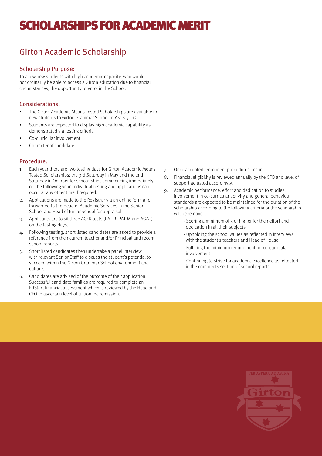# SCHOLARSHIPS FOR ACADEMIC MERIT

### Girton Academic Scholarship

#### Scholarship Purpose:

To allow new students with high academic capacity, who would not ordinarily be able to access a Girton education due to financial circumstances, the opportunity to enrol in the School.

#### Considerations:

- The Girton Academic Means Tested Scholarships are available to new students to Girton Grammar School in Years 5 - 12
- Students are expected to display high academic capability as demonstrated via testing criteria
- Co-curricular involvement
- Character of candidate

- 1. Each year there are two testing days for Girton Academic Means Tested Scholarships; the 3rd Saturday in May and the 2nd Saturday in October for scholarships commencing immediately or the following year. Individual testing and applications can occur at any other time if required.
- 2. Applications are made to the Registrar via an online form and forwarded to the Head of Academic Services in the Senior School and Head of Junior School for appraisal.
- 3. Applicants are to sit three ACER tests (PAT-R, PAT-M and AGAT) on the testing days.
- 4. Following testing, short listed candidates are asked to provide a reference from their current teacher and/or Principal and recent school reports.
- 5. Short listed candidates then undertake a panel interview with relevant Senior Staff to discuss the student's potential to succeed within the Girton Grammar School environment and culture.
- 6. Candidates are advised of the outcome of their application. Successful candidate families are required to complete an EdStart financial assessment which is reviewed by the Head and CFO to ascertain level of tuition fee remission.
- 7. Once accepted, enrolment procedures occur.
- 8. Financial eligibility is reviewed annually by the CFO and level of support adjusted accordingly.
- 9. Academic performance, effort and dedication to studies, involvement in co-curricular activity and general behaviour standards are expected to be maintained for the duration of the scholarship according to the following criteria or the scholarship will be removed.
	- Scoring a minimum of 3 or higher for their effort and dedication in all their subjects
	- Upholding the school values as reflected in interviews with the student's teachers and Head of House
	- Fulfilling the minimum requirement for co-curricular involvement
	- Continuing to strive for academic excellence as reflected in the comments section of school reports.

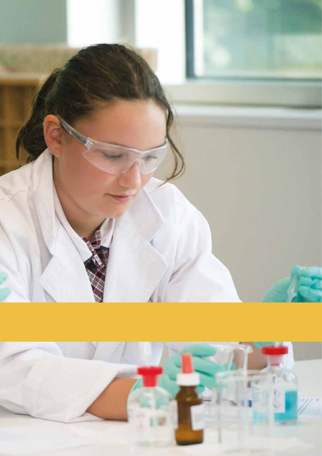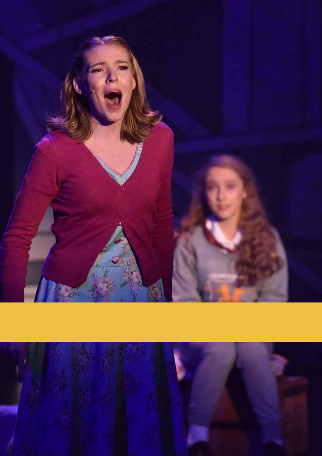

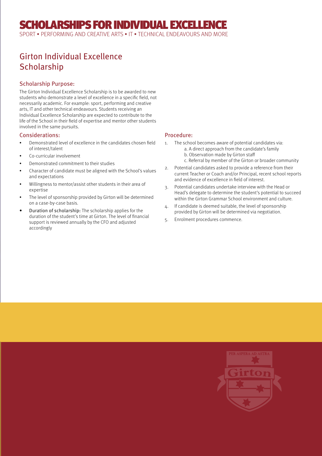### SCHOLARSHIPS FOR INDIVIDUAL EXCELLENCE

SPORT • PERFORMING AND CREATIVE ARTS • IT • TECHNICAL ENDEAVOURS AND MORE

### Girton Individual Excellence **Scholarship**

#### Scholarship Purpose:

The Girton Individual Excellence Scholarship is to be awarded to new students who demonstrate a level of excellence in a specific field, not necessarily academic. For example: sport, performing and creative arts, IT and other technical endeavours. Students receiving an Individual Excellence Scholarship are expected to contribute to the life of the School in their field of expertise and mentor other students involved in the same pursuits.

#### Considerations:

- Demonstrated level of excellence in the candidates chosen field of interest/talent
- Co-curricular involvement
- Demonstrated commitment to their studies
- Character of candidate must be aligned with the School's values and expectations
- Willingness to mentor/assist other students in their area of expertise
- The level of sponsorship provided by Girton will be determined on a case-by-case basis.
- Duration of scholarship: The scholarship applies for the duration of the student's time at Girton. The level of financial support is reviewed annually by the CFO and adjusted accordingly

- 1. The school becomes aware of potential candidates via:
	- a. A direct approach from the candidate's family
		- b. Observation made by Girton staff
		- c. Referral by member of the Girton or broader community
- 2. Potential candidates asked to provide a reference from their current Teacher or Coach and/or Principal, recent school reports and evidence of excellence in field of interest.
- 3. Potential candidates undertake interview with the Head or Head's delegate to determine the student's potential to succeed within the Girton Grammar School environment and culture.
- 4. If candidate is deemed suitable, the level of sponsorship provided by Girton will be determined via negotiation.
- 5. Enrolment procedures commence.

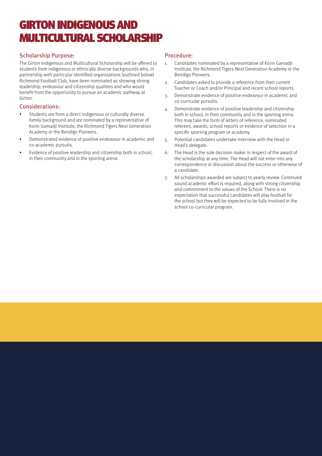## GIRTON INDIGENOUS AND MULTICULTURAL SCHOLARSHIP

#### Scholarship Purpose:

The Girton Indigenous and Multicultural Scholarship will be offered to students from indigenous or ethnically diverse backgrounds who, in partnership with particular identified organisations (outlined below) Richmond Football Club, have been nominated as showing strong leadership, endeavour and citizenship qualities and who would benefit from the opportunity to pursue an academic pathway at Girton.

#### Considerations:

- Students are from a direct indigenous or culturally diverse family background and are nominated by a representative of Korin Gamadji Institute, the Richmond Tigers Next Generation Academy or the Bendigo Pioneers.
- Demonstrated evidence of positive endeavour in academic and co-academic pursuits.
- Evidence of positive leadership and citizenship both in school, in their community and in the sporting arena.

- 1. Candidates nominated by a representative of Korin Gamadji Institute, the Richmond Tigers Next Generation Academy or the Bendigo Pioneers.
- 2. Candidates asked to provide a reference from their current Teacher or Coach and/or Principal and recent school reports.
- 3. Demonstrate evidence of positive endeavour in academic and co-curricular pursuits.
- 4. Demonstrate evidence of positive leadership and citizenship both in school, in their community and in the sporting arena. This may take the form of letters of reference, nominated referees, awards, school reports or evidence of selection in a specific sporting program or academy.
- 5. Potential candidates undertake interview with the Head or Head's delegate.
- 6. The Head is the sole decision maker in respect of the award of the scholarship at any time. The Head will not enter into any correspondence or discussion about the success or otherwise of a candidate.
- 7. All scholarships awarded are subject to yearly review. Continued sound academic effort is required, along with strong citizenship and commitment to the values of the School. There is no expectation that successful candidates will play football for the school but they will be expected to be fully involved in the school co-curricular program.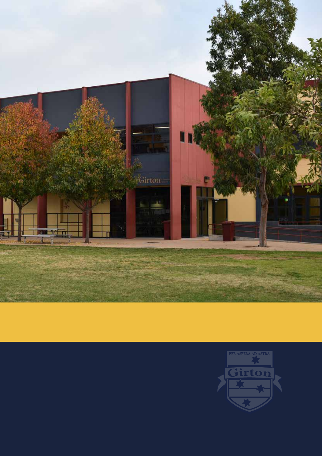

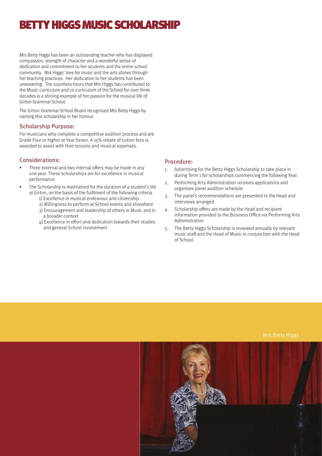# BETTY HIGGS MUSIC SCHOLARSHIP

Mrs Betty Higgs has been an outstanding teacher who has displayed compassion, strength of character and a wonderful sense of dedication and commitment to her students and the entire school community. Mrs Higgs' love for music and the arts shines through her teaching practices. Her dedication to her students has been unwavering. The countless hours that Mrs Higgs has contributed to the Music curriculum and co-curriculum of the School for over three decades is a shining example of her passion for the musical life of Girton Grammar School.

The Girton Grammar School Board recognised Mrs Betty Higgs by naming this scholarship in her honour.

#### Scholarship Purpose:

For musicians who complete a competitive audition process and are Grade Four or higher at Year Seven. A 15% rebate of tuition fees is awarded to assist with their lessons and musical expenses.

#### Considerations:

- Three external and two internal offers may be made in any one year. These scholarships are for excellence in musical performance.
- The Scholarship is maintained for the duration of a student's life at Girton, on the basis of the fulfilment of the following criteria.
	- 1) Excellence in musical endeavour and citizenship
		- 2) Willingness to perform at School events and elsewhere
		- 3) Encouragement and leadership of others in Music and in a broader context
		- 4) Excellence in effort and dedication towards their studies and general School involvement

#### Procedure:

- 1. Advertising for the Betty Higgs Scholarship to take place in during Term 1 for scholarships commencing the following Year.
- 2. Performing Arts Administration receives applications and organises panel audition schedule
- 3. The panel's recommendations are presented to the Head and interviews arranged
- 4. Scholarship offers are made by the Head and recipient information provided to the Business Office via Performing Arts Administration
- 5. The Betty Higgs Scholarship is reviewed annually by relevant music staff and the Head of Music in conjunction with the Head of School.



Mrs Betty Higgs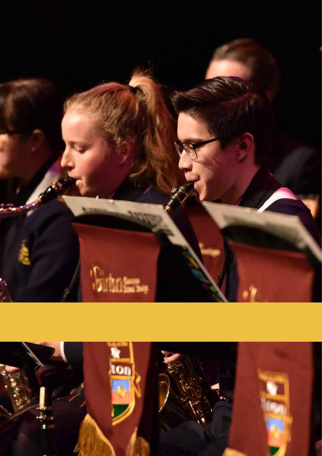

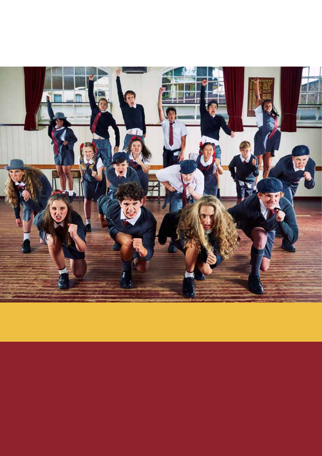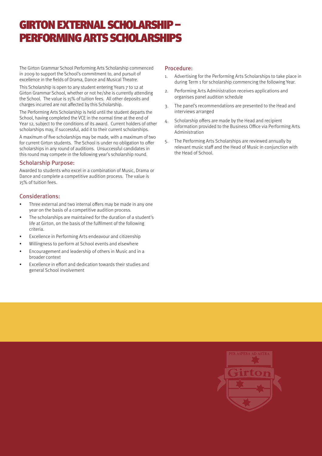# GIRTON EXTERNAL SCHOLARSHIP – PERFORMING ARTS SCHOLARSHIPS

The Girton Grammar School Performing Arts Scholarship commenced in 2009 to support the School's commitment to, and pursuit of excellence in the fields of Drama, Dance and Musical Theatre.

This Scholarship is open to any student entering Years 7 to 12 at Girton Grammar School, whether or not he/she is currently attending the School. The value is 15% of tuition fees. All other deposits and charges incurred are not affected by this Scholarship.

The Performing Arts Scholarship is held until the student departs the School, having completed the VCE in the normal time at the end of Year 12, subject to the conditions of its award. Current holders of other scholarships may, if successful, add it to their current scholarships.

A maximum of five scholarships may be made, with a maximum of two for current Girton students. The School is under no obligation to offer scholarships in any round of auditions. Unsuccessful candidates in this round may compete in the following year's scholarship round.

#### Scholarship Purpose:

Awarded to students who excel in a combination of Music, Drama or Dance and complete a competitive audition process. The value is 15% of tuition fees.

#### Considerations:

- Three external and two internal offers may be made in any one year on the basis of a competitive audition process.
- The scholarships are maintained for the duration of a student's life at Girton, on the basis of the fulfilment of the following criteria.
- Excellence in Performing Arts endeavour and citizenship
- Willingness to perform at School events and elsewhere
- Encouragement and leadership of others in Music and in a broader context
- Excellence in effort and dedication towards their studies and general School involvement

- 1. Advertising for the Performing Arts Scholarships to take place in during Term 1 for scholarship commencing the following Year.
- 2. Performing Arts Administration receives applications and organises panel audition schedule
- 3. The panel's recommendations are presented to the Head and interviews arranged
- 4. Scholarship offers are made by the Head and recipient information provided to the Business Office via Performing Arts Administration
- 5. The Performing Arts Scholarships are reviewed annually by relevant music staff and the Head of Music in conjunction with the Head of School.

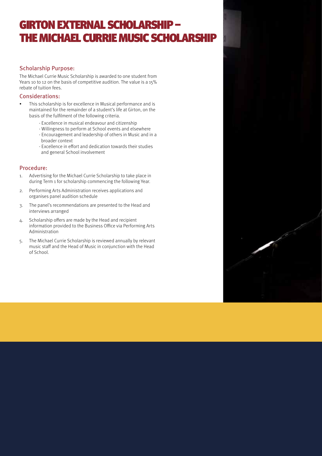## GIRTON EXTERNAL SCHOLARSHIP – THE MICHAEL CURRIE MUSIC SCHOLARSHIP

#### Scholarship Purpose:

The Michael Currie Music Scholarship is awarded to one student from Years 10 to 12 on the basis of competitive audition. The value is a 15% rebate of tuition fees.

#### Considerations:

- This scholarship is for excellence in Musical performance and is maintained for the remainder of a student's life at Girton, on the basis of the fulfilment of the following criteria.
	- Excellence in musical endeavour and citizenship
	- Willingness to perform at School events and elsewhere
	- Encouragement and leadership of others in Music and in a broader context
	- Excellence in effort and dedication towards their studies and general School involvement

- 1. Advertising for the Michael Currie Scholarship to take place in during Term 1 for scholarship commencing the following Year.
- 2. Performing Arts Administration receives applications and organises panel audition schedule
- 3. The panel's recommendations are presented to the Head and interviews arranged
- 4. Scholarship offers are made by the Head and recipient information provided to the Business Office via Performing Arts Administration
- 5. The Michael Currie Scholarship is reviewed annually by relevant music staff and the Head of Music in conjunction with the Head of School.

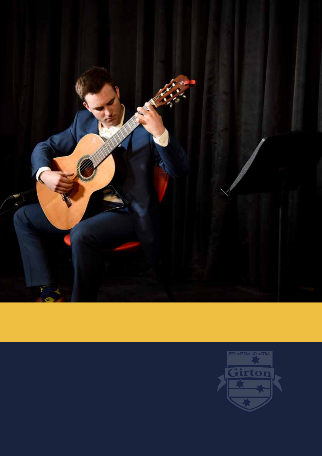